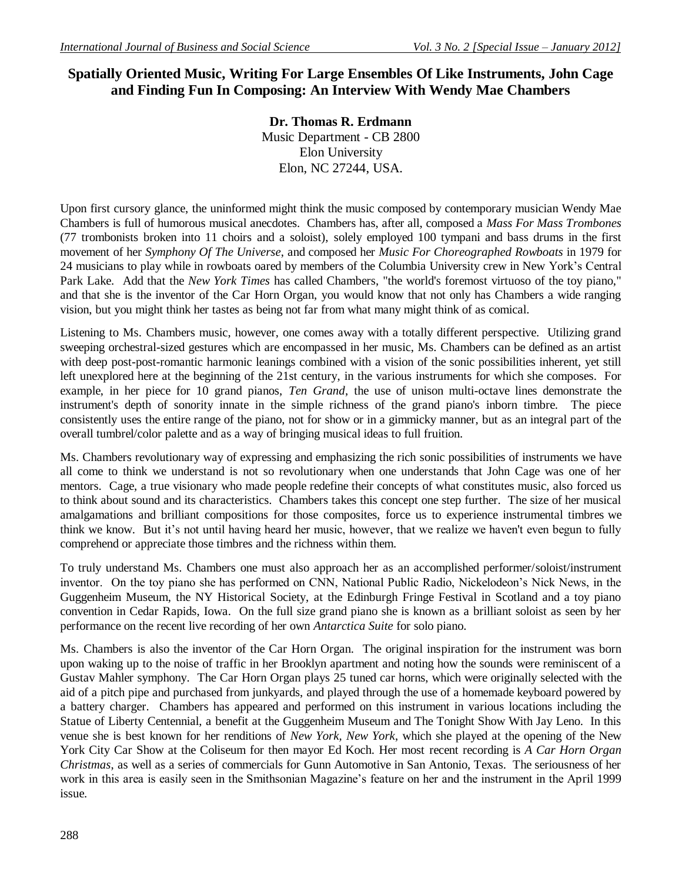# **Spatially Oriented Music, Writing For Large Ensembles Of Like Instruments, John Cage and Finding Fun In Composing: An Interview With Wendy Mae Chambers**

**Dr. Thomas R. Erdmann** Music Department - CB 2800 Elon University Elon, NC 27244, USA.

Upon first cursory glance, the uninformed might think the music composed by contemporary musician Wendy Mae Chambers is full of humorous musical anecdotes. Chambers has, after all, composed a *Mass For Mass Trombones* (77 trombonists broken into 11 choirs and a soloist), solely employed 100 tympani and bass drums in the first movement of her *Symphony Of The Universe*, and composed her *Music For Choreographed Rowboats* in 1979 for 24 musicians to play while in rowboats oared by members of the Columbia University crew in New York's Central Park Lake. Add that the *New York Times* has called Chambers, "the world's foremost virtuoso of the toy piano," and that she is the inventor of the Car Horn Organ, you would know that not only has Chambers a wide ranging vision, but you might think her tastes as being not far from what many might think of as comical.

Listening to Ms. Chambers music, however, one comes away with a totally different perspective. Utilizing grand sweeping orchestral-sized gestures which are encompassed in her music, Ms. Chambers can be defined as an artist with deep post-post-romantic harmonic leanings combined with a vision of the sonic possibilities inherent, yet still left unexplored here at the beginning of the 21st century, in the various instruments for which she composes. For example, in her piece for 10 grand pianos, *Ten Grand*, the use of unison multi-octave lines demonstrate the instrument's depth of sonority innate in the simple richness of the grand piano's inborn timbre. The piece consistently uses the entire range of the piano, not for show or in a gimmicky manner, but as an integral part of the overall tumbrel/color palette and as a way of bringing musical ideas to full fruition.

Ms. Chambers revolutionary way of expressing and emphasizing the rich sonic possibilities of instruments we have all come to think we understand is not so revolutionary when one understands that John Cage was one of her mentors. Cage, a true visionary who made people redefine their concepts of what constitutes music, also forced us to think about sound and its characteristics. Chambers takes this concept one step further. The size of her musical amalgamations and brilliant compositions for those composites, force us to experience instrumental timbres we think we know. But it's not until having heard her music, however, that we realize we haven't even begun to fully comprehend or appreciate those timbres and the richness within them.

To truly understand Ms. Chambers one must also approach her as an accomplished performer/soloist/instrument inventor. On the toy piano she has performed on CNN, National Public Radio, Nickelodeon's Nick News, in the Guggenheim Museum, the NY Historical Society, at the Edinburgh Fringe Festival in Scotland and a toy piano convention in Cedar Rapids, Iowa. On the full size grand piano she is known as a brilliant soloist as seen by her performance on the recent live recording of her own *Antarctica Suite* for solo piano.

Ms. Chambers is also the inventor of the Car Horn Organ. The original inspiration for the instrument was born upon waking up to the noise of traffic in her Brooklyn apartment and noting how the sounds were reminiscent of a Gustav Mahler symphony. The Car Horn Organ plays 25 tuned car horns, which were originally selected with the aid of a pitch pipe and purchased from junkyards, and played through the use of a homemade keyboard powered by a battery charger. Chambers has appeared and performed on this instrument in various locations including the Statue of Liberty Centennial, a benefit at the Guggenheim Museum and The Tonight Show With Jay Leno. In this venue she is best known for her renditions of *New York, New York*, which she played at the opening of the New York City Car Show at the Coliseum for then mayor Ed Koch. Her most recent recording is *A Car Horn Organ Christmas*, as well as a series of commercials for Gunn Automotive in San Antonio, Texas. The seriousness of her work in this area is easily seen in the Smithsonian Magazine's feature on her and the instrument in the April 1999 issue.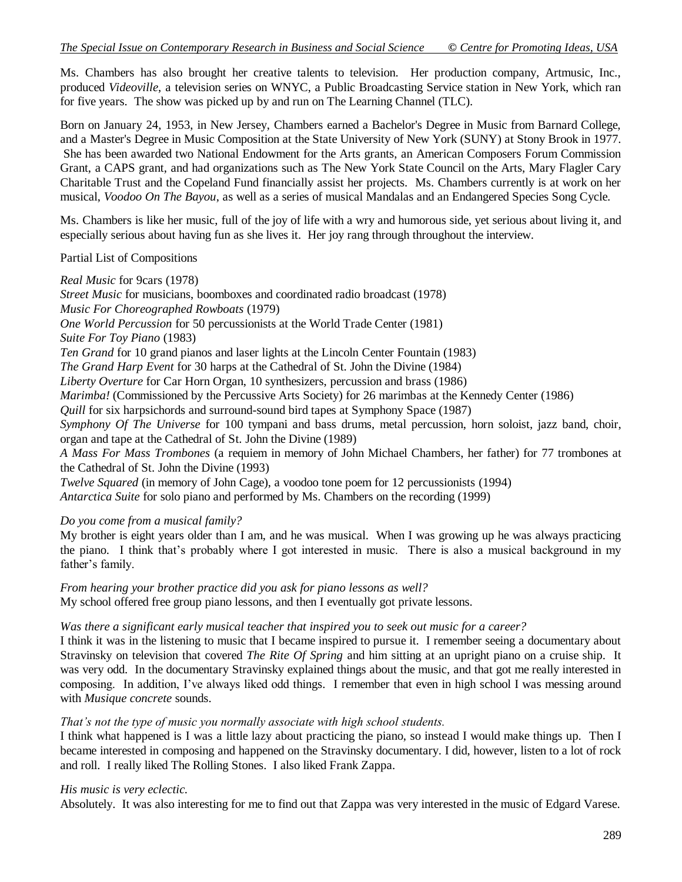Ms. Chambers has also brought her creative talents to television. Her production company, Artmusic, Inc., produced *Videoville*, a television series on WNYC, a Public Broadcasting Service station in New York, which ran for five years. The show was picked up by and run on The Learning Channel (TLC).

Born on January 24, 1953, in New Jersey, Chambers earned a Bachelor's Degree in Music from Barnard College, and a Master's Degree in Music Composition at the State University of New York (SUNY) at Stony Brook in 1977. She has been awarded two National Endowment for the Arts grants, an American Composers Forum Commission Grant, a CAPS grant, and had organizations such as The New York State Council on the Arts, Mary Flagler Cary Charitable Trust and the Copeland Fund financially assist her projects. Ms. Chambers currently is at work on her musical, *Voodoo On The Bayou*, as well as a series of musical Mandalas and an Endangered Species Song Cycle.

Ms. Chambers is like her music, full of the joy of life with a wry and humorous side, yet serious about living it, and especially serious about having fun as she lives it. Her joy rang through throughout the interview.

#### Partial List of Compositions

*Real Music* for 9cars (1978)

*Street Music* for musicians, boomboxes and coordinated radio broadcast (1978) *Music For Choreographed Rowboats* (1979) *One World Percussion* for 50 percussionists at the World Trade Center (1981) *Suite For Toy Piano* (1983) *Ten Grand* for 10 grand pianos and laser lights at the Lincoln Center Fountain (1983) *The Grand Harp Event* for 30 harps at the Cathedral of St. John the Divine (1984) *Liberty Overture* for Car Horn Organ, 10 synthesizers, percussion and brass (1986) *Marimba!* (Commissioned by the Percussive Arts Society) for 26 marimbas at the Kennedy Center (1986) *Quill* for six harpsichords and surround-sound bird tapes at Symphony Space (1987) *Symphony Of The Universe* for 100 tympani and bass drums, metal percussion, horn soloist, jazz band, choir, organ and tape at the Cathedral of St. John the Divine (1989) *A Mass For Mass Trombones* (a requiem in memory of John Michael Chambers, her father) for 77 trombones at the Cathedral of St. John the Divine (1993) *Twelve Squared* (in memory of John Cage), a voodoo tone poem for 12 percussionists (1994)

*Antarctica Suite* for solo piano and performed by Ms. Chambers on the recording (1999)

*Do you come from a musical family?*

My brother is eight years older than I am, and he was musical. When I was growing up he was always practicing the piano. I think that's probably where I got interested in music. There is also a musical background in my father's family.

*From hearing your brother practice did you ask for piano lessons as well?* My school offered free group piano lessons, and then I eventually got private lessons.

#### *Was there a significant early musical teacher that inspired you to seek out music for a career?*

I think it was in the listening to music that I became inspired to pursue it. I remember seeing a documentary about Stravinsky on television that covered *The Rite Of Spring* and him sitting at an upright piano on a cruise ship. It was very odd. In the documentary Stravinsky explained things about the music, and that got me really interested in composing. In addition, I've always liked odd things. I remember that even in high school I was messing around with *Musique concrete* sounds.

#### *That's not the type of music you normally associate with high school students.*

I think what happened is I was a little lazy about practicing the piano, so instead I would make things up. Then I became interested in composing and happened on the Stravinsky documentary. I did, however, listen to a lot of rock and roll. I really liked The Rolling Stones. I also liked Frank Zappa.

#### *His music is very eclectic.*

Absolutely. It was also interesting for me to find out that Zappa was very interested in the music of Edgard Varese.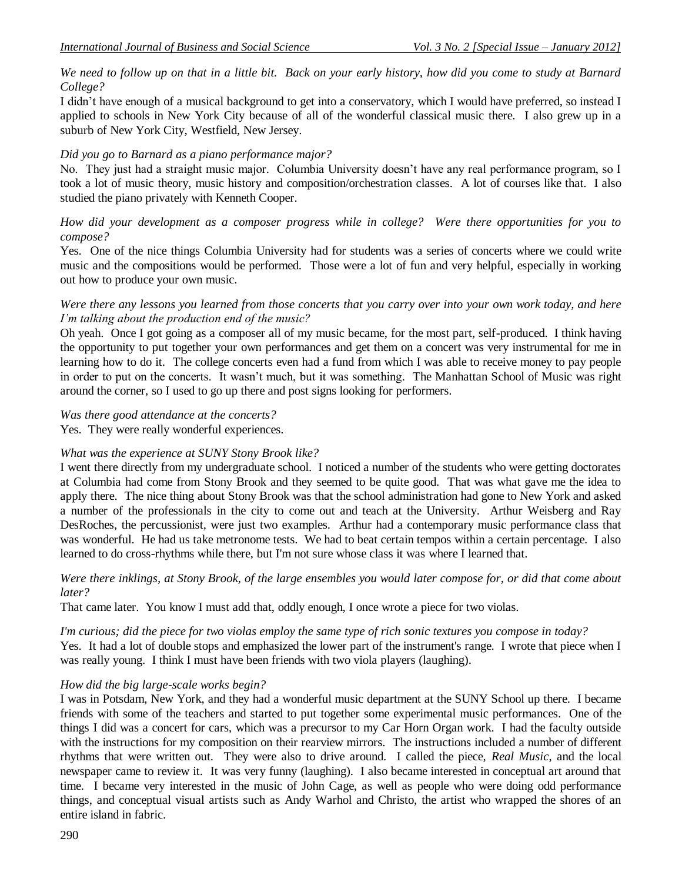*We need to follow up on that in a little bit. Back on your early history, how did you come to study at Barnard College?*

I didn't have enough of a musical background to get into a conservatory, which I would have preferred, so instead I applied to schools in New York City because of all of the wonderful classical music there. I also grew up in a suburb of New York City, Westfield, New Jersey.

### *Did you go to Barnard as a piano performance major?*

No. They just had a straight music major. Columbia University doesn't have any real performance program, so I took a lot of music theory, music history and composition/orchestration classes. A lot of courses like that. I also studied the piano privately with Kenneth Cooper.

### *How did your development as a composer progress while in college? Were there opportunities for you to compose?*

Yes. One of the nice things Columbia University had for students was a series of concerts where we could write music and the compositions would be performed. Those were a lot of fun and very helpful, especially in working out how to produce your own music.

#### *Were there any lessons you learned from those concerts that you carry over into your own work today, and here I'm talking about the production end of the music?*

Oh yeah. Once I got going as a composer all of my music became, for the most part, self-produced. I think having the opportunity to put together your own performances and get them on a concert was very instrumental for me in learning how to do it. The college concerts even had a fund from which I was able to receive money to pay people in order to put on the concerts. It wasn't much, but it was something. The Manhattan School of Music was right around the corner, so I used to go up there and post signs looking for performers.

#### *Was there good attendance at the concerts?*

Yes. They were really wonderful experiences.

# *What was the experience at SUNY Stony Brook like?*

I went there directly from my undergraduate school. I noticed a number of the students who were getting doctorates at Columbia had come from Stony Brook and they seemed to be quite good. That was what gave me the idea to apply there. The nice thing about Stony Brook was that the school administration had gone to New York and asked a number of the professionals in the city to come out and teach at the University. Arthur Weisberg and Ray DesRoches, the percussionist, were just two examples. Arthur had a contemporary music performance class that was wonderful. He had us take metronome tests. We had to beat certain tempos within a certain percentage. I also learned to do cross-rhythms while there, but I'm not sure whose class it was where I learned that.

#### *Were there inklings, at Stony Brook, of the large ensembles you would later compose for, or did that come about later?*

That came later. You know I must add that, oddly enough, I once wrote a piece for two violas.

#### *I'm curious; did the piece for two violas employ the same type of rich sonic textures you compose in today?*

Yes. It had a lot of double stops and emphasized the lower part of the instrument's range. I wrote that piece when I was really young. I think I must have been friends with two viola players (laughing).

# *How did the big large-scale works begin?*

I was in Potsdam, New York, and they had a wonderful music department at the SUNY School up there. I became friends with some of the teachers and started to put together some experimental music performances. One of the things I did was a concert for cars, which was a precursor to my Car Horn Organ work. I had the faculty outside with the instructions for my composition on their rearview mirrors. The instructions included a number of different rhythms that were written out. They were also to drive around. I called the piece, *Real Music*, and the local newspaper came to review it. It was very funny (laughing). I also became interested in conceptual art around that time. I became very interested in the music of John Cage, as well as people who were doing odd performance things, and conceptual visual artists such as Andy Warhol and Christo, the artist who wrapped the shores of an entire island in fabric.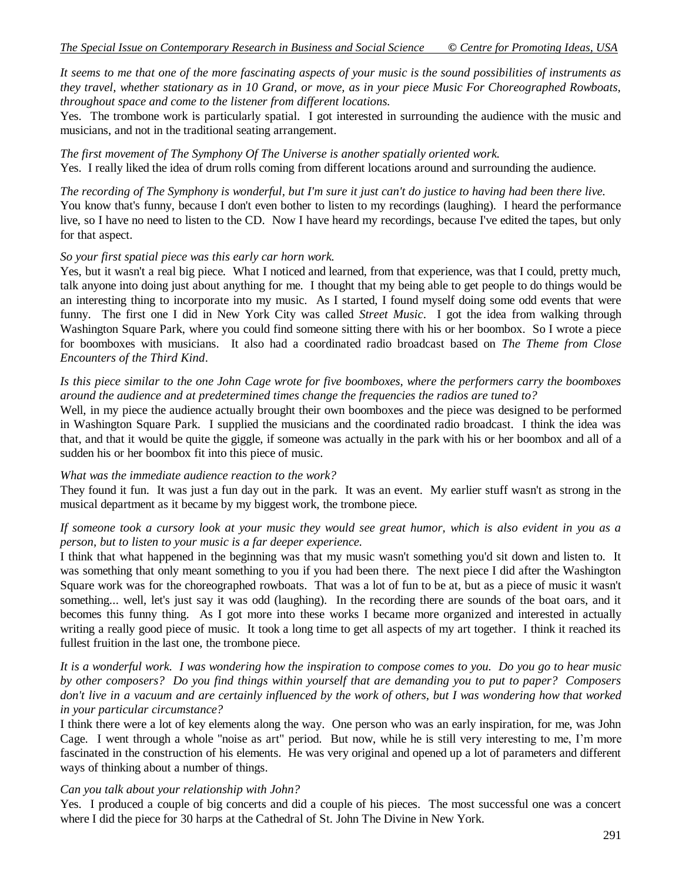*It seems to me that one of the more fascinating aspects of your music is the sound possibilities of instruments as they travel, whether stationary as in 10 Grand, or move, as in your piece Music For Choreographed Rowboats, throughout space and come to the listener from different locations.*

Yes. The trombone work is particularly spatial. I got interested in surrounding the audience with the music and musicians, and not in the traditional seating arrangement.

*The first movement of The Symphony Of The Universe is another spatially oriented work.* Yes. I really liked the idea of drum rolls coming from different locations around and surrounding the audience.

*The recording of The Symphony is wonderful, but I'm sure it just can't do justice to having had been there live.* You know that's funny, because I don't even bother to listen to my recordings (laughing). I heard the performance live, so I have no need to listen to the CD. Now I have heard my recordings, because I've edited the tapes, but only for that aspect.

#### *So your first spatial piece was this early car horn work.*

Yes, but it wasn't a real big piece. What I noticed and learned, from that experience, was that I could, pretty much, talk anyone into doing just about anything for me. I thought that my being able to get people to do things would be an interesting thing to incorporate into my music. As I started, I found myself doing some odd events that were funny. The first one I did in New York City was called *Street Music*. I got the idea from walking through Washington Square Park, where you could find someone sitting there with his or her boombox. So I wrote a piece for boomboxes with musicians. It also had a coordinated radio broadcast based on *The Theme from Close Encounters of the Third Kind*.

#### *Is this piece similar to the one John Cage wrote for five boomboxes, where the performers carry the boomboxes around the audience and at predetermined times change the frequencies the radios are tuned to?*

Well, in my piece the audience actually brought their own boomboxes and the piece was designed to be performed in Washington Square Park. I supplied the musicians and the coordinated radio broadcast. I think the idea was that, and that it would be quite the giggle, if someone was actually in the park with his or her boombox and all of a sudden his or her boombox fit into this piece of music.

#### *What was the immediate audience reaction to the work?*

They found it fun. It was just a fun day out in the park. It was an event. My earlier stuff wasn't as strong in the musical department as it became by my biggest work, the trombone piece.

#### *If someone took a cursory look at your music they would see great humor, which is also evident in you as a person, but to listen to your music is a far deeper experience.*

I think that what happened in the beginning was that my music wasn't something you'd sit down and listen to. It was something that only meant something to you if you had been there. The next piece I did after the Washington Square work was for the choreographed rowboats. That was a lot of fun to be at, but as a piece of music it wasn't something... well, let's just say it was odd (laughing). In the recording there are sounds of the boat oars, and it becomes this funny thing. As I got more into these works I became more organized and interested in actually writing a really good piece of music. It took a long time to get all aspects of my art together. I think it reached its fullest fruition in the last one, the trombone piece.

*It is a wonderful work. I was wondering how the inspiration to compose comes to you. Do you go to hear music by other composers? Do you find things within yourself that are demanding you to put to paper? Composers don't live in a vacuum and are certainly influenced by the work of others, but I was wondering how that worked in your particular circumstance?*

I think there were a lot of key elements along the way. One person who was an early inspiration, for me, was John Cage. I went through a whole "noise as art" period. But now, while he is still very interesting to me, I'm more fascinated in the construction of his elements. He was very original and opened up a lot of parameters and different ways of thinking about a number of things.

#### *Can you talk about your relationship with John?*

Yes. I produced a couple of big concerts and did a couple of his pieces. The most successful one was a concert where I did the piece for 30 harps at the Cathedral of St. John The Divine in New York.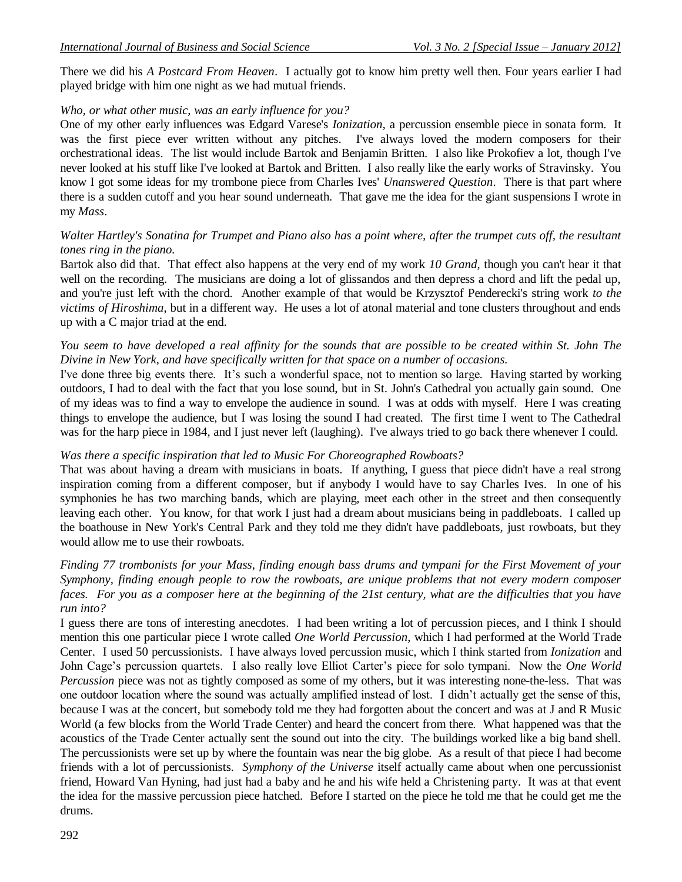There we did his *A Postcard From Heaven*. I actually got to know him pretty well then. Four years earlier I had played bridge with him one night as we had mutual friends.

# *Who, or what other music, was an early influence for you?*

One of my other early influences was Edgard Varese's *Ionization*, a percussion ensemble piece in sonata form. It was the first piece ever written without any pitches. I've always loved the modern composers for their orchestrational ideas. The list would include Bartok and Benjamin Britten. I also like Prokofiev a lot, though I've never looked at his stuff like I've looked at Bartok and Britten. I also really like the early works of Stravinsky. You know I got some ideas for my trombone piece from Charles Ives' *Unanswered Question*. There is that part where there is a sudden cutoff and you hear sound underneath. That gave me the idea for the giant suspensions I wrote in my *Mass*.

### *Walter Hartley's Sonatina for Trumpet and Piano also has a point where, after the trumpet cuts off, the resultant tones ring in the piano.*

Bartok also did that. That effect also happens at the very end of my work *10 Grand*, though you can't hear it that well on the recording. The musicians are doing a lot of glissandos and then depress a chord and lift the pedal up, and you're just left with the chord. Another example of that would be Krzysztof Penderecki's string work *to the victims of Hiroshima*, but in a different way. He uses a lot of atonal material and tone clusters throughout and ends up with a C major triad at the end.

### *You seem to have developed a real affinity for the sounds that are possible to be created within St. John The Divine in New York, and have specifically written for that space on a number of occasions.*

I've done three big events there. It's such a wonderful space, not to mention so large. Having started by working outdoors, I had to deal with the fact that you lose sound, but in St. John's Cathedral you actually gain sound. One of my ideas was to find a way to envelope the audience in sound. I was at odds with myself. Here I was creating things to envelope the audience, but I was losing the sound I had created. The first time I went to The Cathedral was for the harp piece in 1984, and I just never left (laughing). I've always tried to go back there whenever I could.

# *Was there a specific inspiration that led to Music For Choreographed Rowboats?*

That was about having a dream with musicians in boats. If anything, I guess that piece didn't have a real strong inspiration coming from a different composer, but if anybody I would have to say Charles Ives. In one of his symphonies he has two marching bands, which are playing, meet each other in the street and then consequently leaving each other. You know, for that work I just had a dream about musicians being in paddleboats. I called up the boathouse in New York's Central Park and they told me they didn't have paddleboats, just rowboats, but they would allow me to use their rowboats.

*Finding 77 trombonists for your Mass, finding enough bass drums and tympani for the First Movement of your Symphony, finding enough people to row the rowboats, are unique problems that not every modern composer*  faces. For you as a composer here at the beginning of the 21st century, what are the difficulties that you have *run into?*

I guess there are tons of interesting anecdotes. I had been writing a lot of percussion pieces, and I think I should mention this one particular piece I wrote called *One World Percussion*, which I had performed at the World Trade Center. I used 50 percussionists. I have always loved percussion music, which I think started from *Ionization* and John Cage's percussion quartets. I also really love Elliot Carter's piece for solo tympani. Now the *One World Percussion* piece was not as tightly composed as some of my others, but it was interesting none-the-less. That was one outdoor location where the sound was actually amplified instead of lost. I didn't actually get the sense of this, because I was at the concert, but somebody told me they had forgotten about the concert and was at J and R Music World (a few blocks from the World Trade Center) and heard the concert from there. What happened was that the acoustics of the Trade Center actually sent the sound out into the city. The buildings worked like a big band shell. The percussionists were set up by where the fountain was near the big globe. As a result of that piece I had become friends with a lot of percussionists. *Symphony of the Universe* itself actually came about when one percussionist friend, Howard Van Hyning, had just had a baby and he and his wife held a Christening party. It was at that event the idea for the massive percussion piece hatched. Before I started on the piece he told me that he could get me the drums.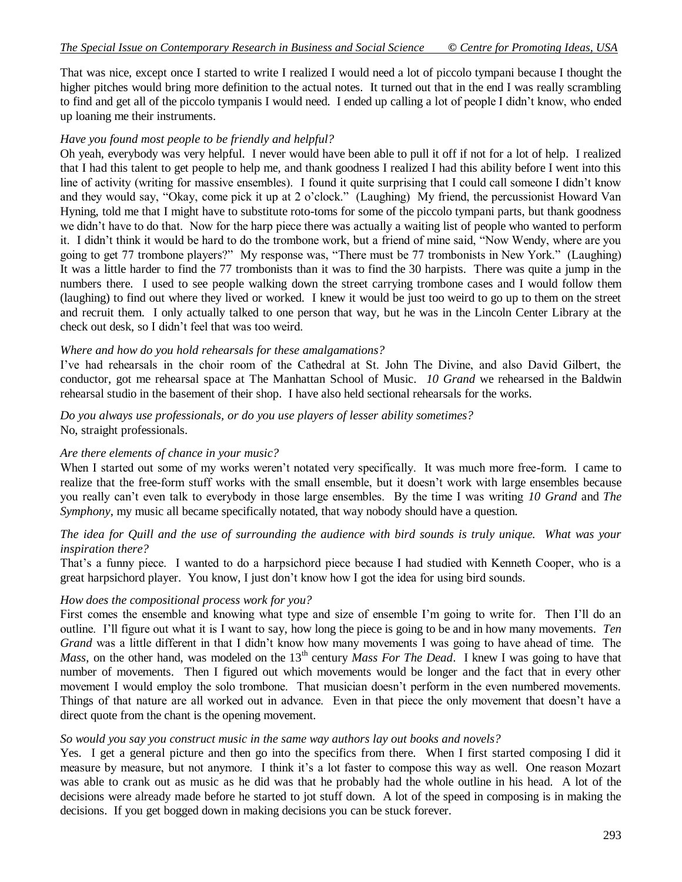That was nice, except once I started to write I realized I would need a lot of piccolo tympani because I thought the higher pitches would bring more definition to the actual notes. It turned out that in the end I was really scrambling to find and get all of the piccolo tympanis I would need. I ended up calling a lot of people I didn't know, who ended up loaning me their instruments.

#### *Have you found most people to be friendly and helpful?*

Oh yeah, everybody was very helpful. I never would have been able to pull it off if not for a lot of help. I realized that I had this talent to get people to help me, and thank goodness I realized I had this ability before I went into this line of activity (writing for massive ensembles). I found it quite surprising that I could call someone I didn't know and they would say, "Okay, come pick it up at 2 o'clock." (Laughing) My friend, the percussionist Howard Van Hyning, told me that I might have to substitute roto-toms for some of the piccolo tympani parts, but thank goodness we didn't have to do that. Now for the harp piece there was actually a waiting list of people who wanted to perform it. I didn't think it would be hard to do the trombone work, but a friend of mine said, "Now Wendy, where are you going to get 77 trombone players?" My response was, "There must be 77 trombonists in New York." (Laughing) It was a little harder to find the 77 trombonists than it was to find the 30 harpists. There was quite a jump in the numbers there. I used to see people walking down the street carrying trombone cases and I would follow them (laughing) to find out where they lived or worked. I knew it would be just too weird to go up to them on the street and recruit them. I only actually talked to one person that way, but he was in the Lincoln Center Library at the check out desk, so I didn't feel that was too weird.

#### *Where and how do you hold rehearsals for these amalgamations?*

I've had rehearsals in the choir room of the Cathedral at St. John The Divine, and also David Gilbert, the conductor, got me rehearsal space at The Manhattan School of Music. *10 Grand* we rehearsed in the Baldwin rehearsal studio in the basement of their shop. I have also held sectional rehearsals for the works.

*Do you always use professionals, or do you use players of lesser ability sometimes?* No, straight professionals.

#### *Are there elements of chance in your music?*

When I started out some of my works weren't notated very specifically. It was much more free-form. I came to realize that the free-form stuff works with the small ensemble, but it doesn't work with large ensembles because you really can't even talk to everybody in those large ensembles. By the time I was writing *10 Grand* and *The Symphony*, my music all became specifically notated, that way nobody should have a question.

#### *The idea for Quill and the use of surrounding the audience with bird sounds is truly unique. What was your inspiration there?*

That's a funny piece. I wanted to do a harpsichord piece because I had studied with Kenneth Cooper, who is a great harpsichord player. You know, I just don't know how I got the idea for using bird sounds.

#### *How does the compositional process work for you?*

First comes the ensemble and knowing what type and size of ensemble I'm going to write for. Then I'll do an outline. I'll figure out what it is I want to say, how long the piece is going to be and in how many movements. *Ten Grand* was a little different in that I didn't know how many movements I was going to have ahead of time. The *Mass*, on the other hand, was modeled on the 13<sup>th</sup> century *Mass For The Dead*. I knew I was going to have that number of movements. Then I figured out which movements would be longer and the fact that in every other movement I would employ the solo trombone. That musician doesn't perform in the even numbered movements. Things of that nature are all worked out in advance. Even in that piece the only movement that doesn't have a direct quote from the chant is the opening movement.

#### *So would you say you construct music in the same way authors lay out books and novels?*

Yes. I get a general picture and then go into the specifics from there. When I first started composing I did it measure by measure, but not anymore. I think it's a lot faster to compose this way as well. One reason Mozart was able to crank out as music as he did was that he probably had the whole outline in his head. A lot of the decisions were already made before he started to jot stuff down. A lot of the speed in composing is in making the decisions. If you get bogged down in making decisions you can be stuck forever.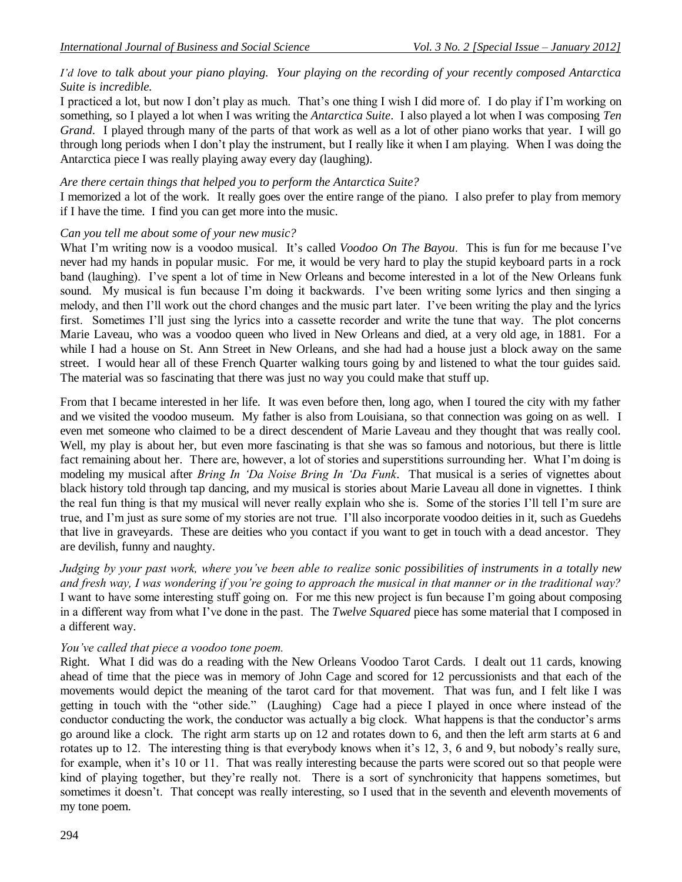# *I'd love to talk about your piano playing. Your playing on the recording of your recently composed Antarctica Suite is incredible.*

I practiced a lot, but now I don't play as much. That's one thing I wish I did more of. I do play if I'm working on something, so I played a lot when I was writing the *Antarctica Suite*. I also played a lot when I was composing *Ten Grand*. I played through many of the parts of that work as well as a lot of other piano works that year. I will go through long periods when I don't play the instrument, but I really like it when I am playing. When I was doing the Antarctica piece I was really playing away every day (laughing).

# *Are there certain things that helped you to perform the Antarctica Suite?*

I memorized a lot of the work. It really goes over the entire range of the piano. I also prefer to play from memory if I have the time. I find you can get more into the music.

# *Can you tell me about some of your new music?*

What I'm writing now is a voodoo musical. It's called *Voodoo On The Bayou*. This is fun for me because I've never had my hands in popular music. For me, it would be very hard to play the stupid keyboard parts in a rock band (laughing). I've spent a lot of time in New Orleans and become interested in a lot of the New Orleans funk sound. My musical is fun because I'm doing it backwards. I've been writing some lyrics and then singing a melody, and then I'll work out the chord changes and the music part later. I've been writing the play and the lyrics first. Sometimes I'll just sing the lyrics into a cassette recorder and write the tune that way. The plot concerns Marie Laveau, who was a voodoo queen who lived in New Orleans and died, at a very old age, in 1881. For a while I had a house on St. Ann Street in New Orleans, and she had had a house just a block away on the same street. I would hear all of these French Quarter walking tours going by and listened to what the tour guides said. The material was so fascinating that there was just no way you could make that stuff up.

From that I became interested in her life. It was even before then, long ago, when I toured the city with my father and we visited the voodoo museum. My father is also from Louisiana, so that connection was going on as well. I even met someone who claimed to be a direct descendent of Marie Laveau and they thought that was really cool. Well, my play is about her, but even more fascinating is that she was so famous and notorious, but there is little fact remaining about her. There are, however, a lot of stories and superstitions surrounding her. What I'm doing is modeling my musical after *Bring In 'Da Noise Bring In 'Da Funk*. That musical is a series of vignettes about black history told through tap dancing, and my musical is stories about Marie Laveau all done in vignettes. I think the real fun thing is that my musical will never really explain who she is. Some of the stories I'll tell I'm sure are true, and I'm just as sure some of my stories are not true. I'll also incorporate voodoo deities in it, such as Guedehs that live in graveyards. These are deities who you contact if you want to get in touch with a dead ancestor. They are devilish, funny and naughty.

*Judging by your past work, where you've been able to realize sonic possibilities of instruments in a totally new and fresh way, I was wondering if you're going to approach the musical in that manner or in the traditional way?* I want to have some interesting stuff going on. For me this new project is fun because I'm going about composing in a different way from what I've done in the past. The *Twelve Squared* piece has some material that I composed in a different way.

# *You've called that piece a voodoo tone poem.*

Right. What I did was do a reading with the New Orleans Voodoo Tarot Cards. I dealt out 11 cards, knowing ahead of time that the piece was in memory of John Cage and scored for 12 percussionists and that each of the movements would depict the meaning of the tarot card for that movement. That was fun, and I felt like I was getting in touch with the "other side." (Laughing) Cage had a piece I played in once where instead of the conductor conducting the work, the conductor was actually a big clock. What happens is that the conductor's arms go around like a clock. The right arm starts up on 12 and rotates down to 6, and then the left arm starts at 6 and rotates up to 12. The interesting thing is that everybody knows when it's 12, 3, 6 and 9, but nobody's really sure, for example, when it's 10 or 11. That was really interesting because the parts were scored out so that people were kind of playing together, but they're really not. There is a sort of synchronicity that happens sometimes, but sometimes it doesn't. That concept was really interesting, so I used that in the seventh and eleventh movements of my tone poem.